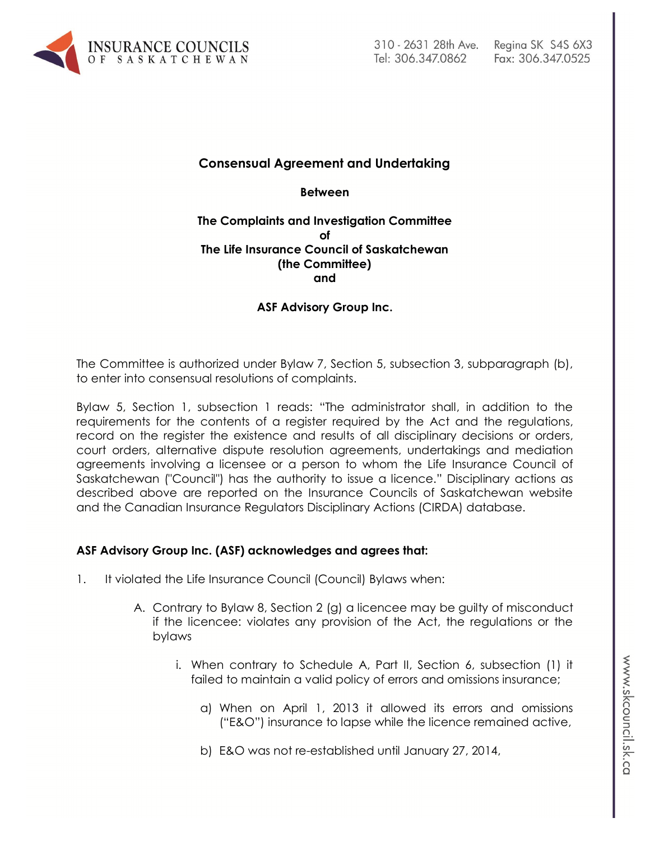

# **Consensual Agreement and Undertaking**

**Between**

#### **The Complaints and Investigation Committee of The Life Insurance Council of Saskatchewan (the Committee) and**

## **ASF Advisory Group Inc.**

The Committee is authorized under Bylaw 7, Section 5, subsection 3, subparagraph (b), to enter into consensual resolutions of complaints.

Bylaw 5, Section 1, subsection 1 reads: "The administrator shall, in addition to the requirements for the contents of a register required by the Act and the regulations, record on the register the existence and results of all disciplinary decisions or orders, court orders, alternative dispute resolution agreements, undertakings and mediation agreements involving a licensee or a person to whom the Life Insurance Council of Saskatchewan ("Council") has the authority to issue a licence." Disciplinary actions as described above are reported on the Insurance Councils of Saskatchewan website and the Canadian Insurance Regulators Disciplinary Actions (CIRDA) database.

#### **ASF Advisory Group Inc. (ASF) acknowledges and agrees that:**

- 1. It violated the Life Insurance Council (Council) Bylaws when:
	- A. Contrary to Bylaw 8, Section 2 (g) a licencee may be guilty of misconduct if the licencee: violates any provision of the Act, the regulations or the bylaws
		- i. When contrary to Schedule A, Part II, Section 6, subsection (1) it failed to maintain a valid policy of errors and omissions insurance;
			- a) When on April 1, 2013 it allowed its errors and omissions ("E&O") insurance to lapse while the licence remained active,
			- b) E&O was not re-established until January 27, 2014,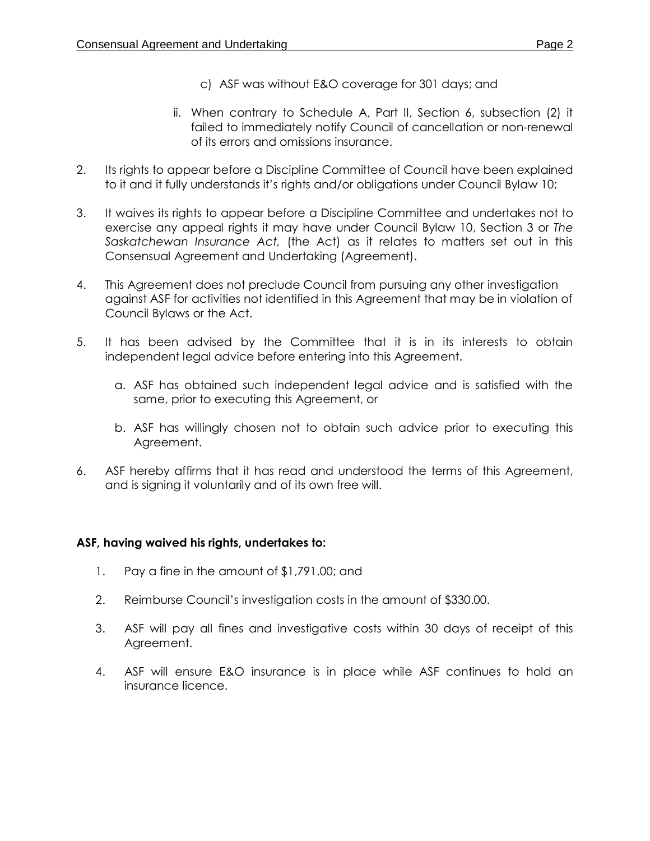- c) ASF was without E&O coverage for 301 days; and
- ii. When contrary to Schedule A, Part II, Section 6, subsection (2) it failed to immediately notify Council of cancellation or non-renewal of its errors and omissions insurance.
- 2. Its rights to appear before a Discipline Committee of Council have been explained to it and it fully understands it's rights and/or obligations under Council Bylaw 10;
- 3. It waives its rights to appear before a Discipline Committee and undertakes not to exercise any appeal rights it may have under Council Bylaw 10, Section 3 or *The Saskatchewan Insurance Act,* (the Act) as it relates to matters set out in this Consensual Agreement and Undertaking (Agreement).
- 4. This Agreement does not preclude Council from pursuing any other investigation against ASF for activities not identified in this Agreement that may be in violation of Council Bylaws or the Act.
- 5. It has been advised by the Committee that it is in its interests to obtain independent legal advice before entering into this Agreement.
	- a. ASF has obtained such independent legal advice and is satisfied with the same, prior to executing this Agreement, or
	- b. ASF has willingly chosen not to obtain such advice prior to executing this Agreement.
- 6. ASF hereby affirms that it has read and understood the terms of this Agreement, and is signing it voluntarily and of its own free will.

## **ASF, having waived his rights, undertakes to:**

- 1. Pay a fine in the amount of \$1,791.00; and
- 2. Reimburse Council's investigation costs in the amount of \$330.00.
- 3. ASF will pay all fines and investigative costs within 30 days of receipt of this Agreement.
- 4. ASF will ensure E&O insurance is in place while ASF continues to hold an insurance licence.